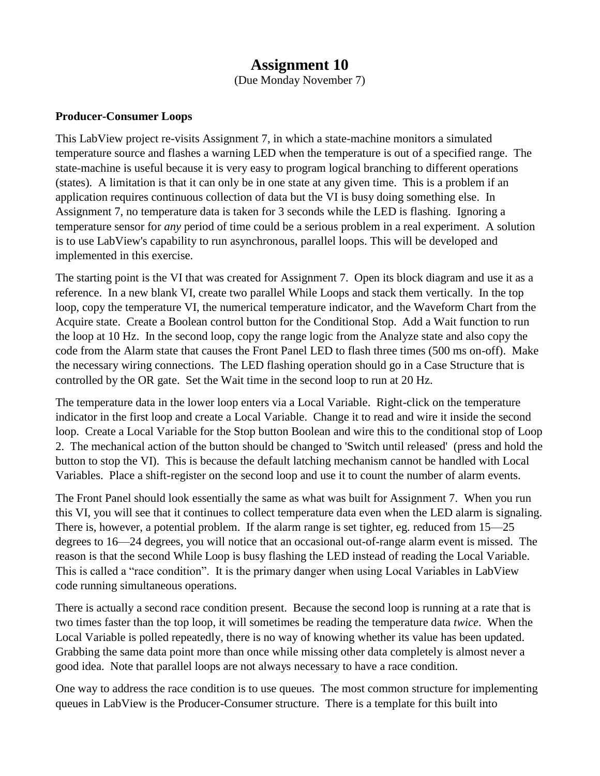## **Assignment 10**

(Due Monday November 7)

## **Producer-Consumer Loops**

This LabView project re-visits Assignment 7, in which a state-machine monitors a simulated temperature source and flashes a warning LED when the temperature is out of a specified range. The state-machine is useful because it is very easy to program logical branching to different operations (states). A limitation is that it can only be in one state at any given time. This is a problem if an application requires continuous collection of data but the VI is busy doing something else. In Assignment 7, no temperature data is taken for 3 seconds while the LED is flashing. Ignoring a temperature sensor for *any* period of time could be a serious problem in a real experiment. A solution is to use LabView's capability to run asynchronous, parallel loops. This will be developed and implemented in this exercise.

The starting point is the VI that was created for Assignment 7. Open its block diagram and use it as a reference. In a new blank VI, create two parallel While Loops and stack them vertically. In the top loop, copy the temperature VI, the numerical temperature indicator, and the Waveform Chart from the Acquire state. Create a Boolean control button for the Conditional Stop. Add a Wait function to run the loop at 10 Hz. In the second loop, copy the range logic from the Analyze state and also copy the code from the Alarm state that causes the Front Panel LED to flash three times (500 ms on-off). Make the necessary wiring connections. The LED flashing operation should go in a Case Structure that is controlled by the OR gate. Set the Wait time in the second loop to run at 20 Hz.

The temperature data in the lower loop enters via a Local Variable. Right-click on the temperature indicator in the first loop and create a Local Variable. Change it to read and wire it inside the second loop. Create a Local Variable for the Stop button Boolean and wire this to the conditional stop of Loop 2. The mechanical action of the button should be changed to 'Switch until released' (press and hold the button to stop the VI). This is because the default latching mechanism cannot be handled with Local Variables. Place a shift-register on the second loop and use it to count the number of alarm events.

The Front Panel should look essentially the same as what was built for Assignment 7. When you run this VI, you will see that it continues to collect temperature data even when the LED alarm is signaling. There is, however, a potential problem. If the alarm range is set tighter, eg. reduced from 15—25 degrees to 16—24 degrees, you will notice that an occasional out-of-range alarm event is missed. The reason is that the second While Loop is busy flashing the LED instead of reading the Local Variable. This is called a "race condition". It is the primary danger when using Local Variables in LabView code running simultaneous operations.

There is actually a second race condition present. Because the second loop is running at a rate that is two times faster than the top loop, it will sometimes be reading the temperature data *twice*. When the Local Variable is polled repeatedly, there is no way of knowing whether its value has been updated. Grabbing the same data point more than once while missing other data completely is almost never a good idea. Note that parallel loops are not always necessary to have a race condition.

One way to address the race condition is to use queues. The most common structure for implementing queues in LabView is the Producer-Consumer structure. There is a template for this built into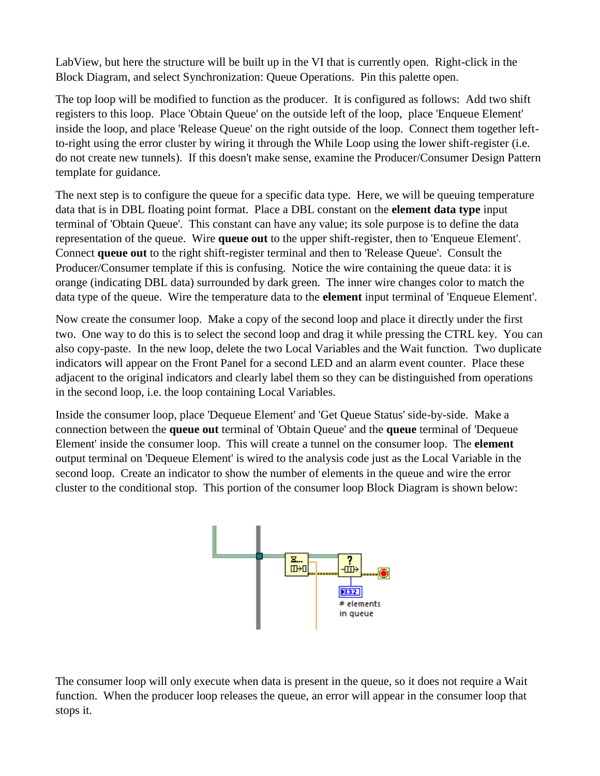LabView, but here the structure will be built up in the VI that is currently open. Right-click in the Block Diagram, and select Synchronization: Queue Operations. Pin this palette open.

The top loop will be modified to function as the producer. It is configured as follows: Add two shift registers to this loop. Place 'Obtain Queue' on the outside left of the loop, place 'Enqueue Element' inside the loop, and place 'Release Queue' on the right outside of the loop. Connect them together leftto-right using the error cluster by wiring it through the While Loop using the lower shift-register (i.e. do not create new tunnels). If this doesn't make sense, examine the Producer/Consumer Design Pattern template for guidance.

The next step is to configure the queue for a specific data type. Here, we will be queuing temperature data that is in DBL floating point format. Place a DBL constant on the **element data type** input terminal of 'Obtain Queue'. This constant can have any value; its sole purpose is to define the data representation of the queue. Wire **queue out** to the upper shift-register, then to 'Enqueue Element'. Connect **queue out** to the right shift-register terminal and then to 'Release Queue'. Consult the Producer/Consumer template if this is confusing. Notice the wire containing the queue data: it is orange (indicating DBL data) surrounded by dark green. The inner wire changes color to match the data type of the queue. Wire the temperature data to the **element** input terminal of 'Enqueue Element'.

Now create the consumer loop. Make a copy of the second loop and place it directly under the first two. One way to do this is to select the second loop and drag it while pressing the CTRL key. You can also copy-paste. In the new loop, delete the two Local Variables and the Wait function. Two duplicate indicators will appear on the Front Panel for a second LED and an alarm event counter. Place these adjacent to the original indicators and clearly label them so they can be distinguished from operations in the second loop, i.e. the loop containing Local Variables.

Inside the consumer loop, place 'Dequeue Element' and 'Get Queue Status' side-by-side. Make a connection between the **queue out** terminal of 'Obtain Queue' and the **queue** terminal of 'Dequeue Element' inside the consumer loop. This will create a tunnel on the consumer loop. The **element** output terminal on 'Dequeue Element' is wired to the analysis code just as the Local Variable in the second loop. Create an indicator to show the number of elements in the queue and wire the error cluster to the conditional stop. This portion of the consumer loop Block Diagram is shown below:



The consumer loop will only execute when data is present in the queue, so it does not require a Wait function. When the producer loop releases the queue, an error will appear in the consumer loop that stops it.